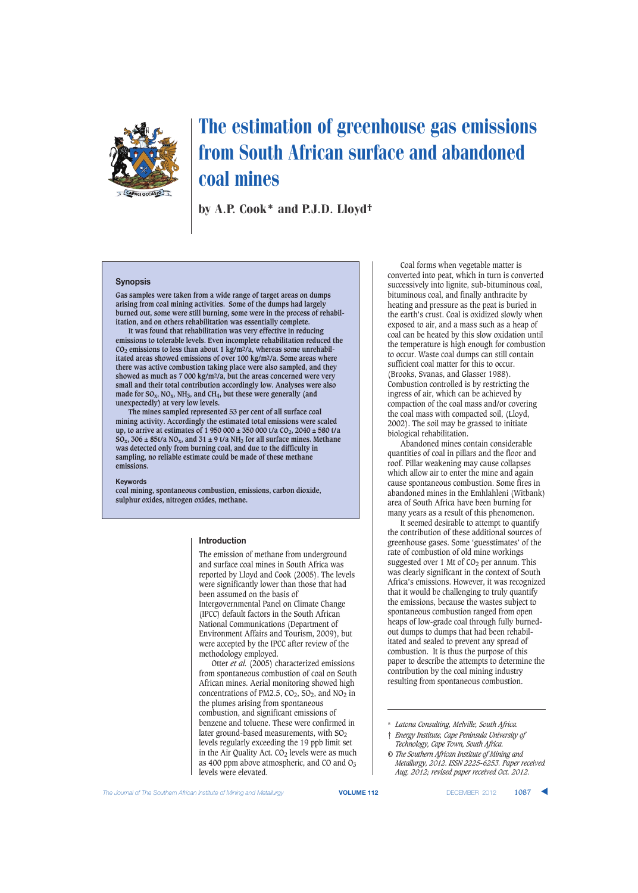

# The estimation of greenhouse gas emissions from South African surface and abandoned coal mines

by A.P. Cook\* and P.J.D. Lloyd†

#### **Synopsis**

**Gas samples were taken from a wide range of target areas on dumps arising from coal mining activities. Some of the dumps had largely burned out, some were still burning, some were in the process of rehabilitation, and on others rehabilitation was essentially complete.**

**It was found that rehabilitation was very effective in reducing emissions to tolerable levels. Even incomplete rehabilitation reduced the**  $CO<sub>2</sub>$  emissions to less than about 1 kg/m<sup>2</sup>/a, whereas some unrehabil**itated areas showed emissions of over 100 kg/m2/a. Some areas where there was active combustion taking place were also sampled, and they showed as much as 7 000 kg/m2/a, but the areas concerned were very small and their total contribution accordingly low. Analyses were also made for SOx, NOx, NH3, and CH4, but these were generally (and unexpectedly) at very low levels.**

**The mines sampled represented 53 per cent of all surface coal mining activity. Accordingly the estimated total emissions were scaled up, to arrive at estimates of 1 950 000 ± 350 000 t/a**  $CO_2$ **, 2040 ± 580 t/a**  $SO_x$ , 306  $\pm$  85t/a NO<sub>x</sub>, and 31  $\pm$  9 t/a NH<sub>3</sub> for all surface mines. Methane **was detected only from burning coal, and due to the difficulty in sampling, no reliable estimate could be made of these methane emissions.**

#### **Keywords**

**coal mining, spontaneous combustion, emissions, carbon dioxide, sulphur oxides, nitrogen oxides, methane.**

#### **Introduction**

The emission of methane from underground and surface coal mines in South Africa was reported by Lloyd and Cook (2005). The levels were significantly lower than those that had been assumed on the basis of Intergovernmental Panel on Climate Change (IPCC) default factors in the South African National Communications (Department of Environment Affairs and Tourism, 2009), but were accepted by the IPCC after review of the methodology employed.

Otter *et al.* (2005) characterized emissions from spontaneous combustion of coal on South African mines. Aerial monitoring showed high concentrations of PM2.5,  $CO_2$ ,  $SO_2$ , and  $NO_2$  in the plumes arising from spontaneous combustion, and significant emissions of benzene and toluene. These were confirmed in later ground-based measurements, with  $SO<sub>2</sub>$ levels regularly exceeding the 19 ppb limit set in the Air Quality Act.  $CO<sub>2</sub>$  levels were as much as 400 ppm above atmospheric, and CO and  $O<sub>3</sub>$ levels were elevated.

Coal forms when vegetable matter is converted into peat, which in turn is converted successively into lignite, sub-bituminous coal, bituminous coal, and finally anthracite by heating and pressure as the peat is buried in the earth's crust. Coal is oxidized slowly when exposed to air, and a mass such as a heap of coal can be heated by this slow oxidation until the temperature is high enough for combustion to occur. Waste coal dumps can still contain sufficient coal matter for this to occur. (Brooks, Svanas, and Glasser 1988). Combustion controlled is by restricting the ingress of air, which can be achieved by compaction of the coal mass and/or covering the coal mass with compacted soil, (Lloyd, 2002). The soil may be grassed to initiate biological rehabilitation.

Abandoned mines contain considerable quantities of coal in pillars and the floor and roof. Pillar weakening may cause collapses which allow air to enter the mine and again cause spontaneous combustion. Some fires in abandoned mines in the Emhlahleni (Witbank) area of South Africa have been burning for many years as a result of this phenomenon.

It seemed desirable to attempt to quantify the contribution of these additional sources of greenhouse gases. Some 'guesstimates' of the rate of combustion of old mine workings suggested over 1 Mt of  $CO<sub>2</sub>$  per annum. This was clearly significant in the context of South Africa's emissions. However, it was recognized that it would be challenging to truly quantify the emissions, because the wastes subject to spontaneous combustion ranged from open heaps of low-grade coal through fully burnedout dumps to dumps that had been rehabilitated and sealed to prevent any spread of combustion. It is thus the purpose of this paper to describe the attempts to determine the contribution by the coal mining industry resulting from spontaneous combustion.

**The Journal of The Southern African Institute of Mining and Metallurgy <b>VOLUME 112 VOLUME 112 DECEMBER 2012 1087** 

<sup>\*</sup> *Latona Consulting, Melville, South Africa.*

<sup>†</sup> *Energy Institute, Cape Peninsula University of Technology, Cape Town, South Africa.*

*<sup>©</sup> The Southern African Institute of Mining and Metallurgy, 2012. ISSN 2225-6253. Paper received Aug. 2012; revised paper received Oct. 2012.*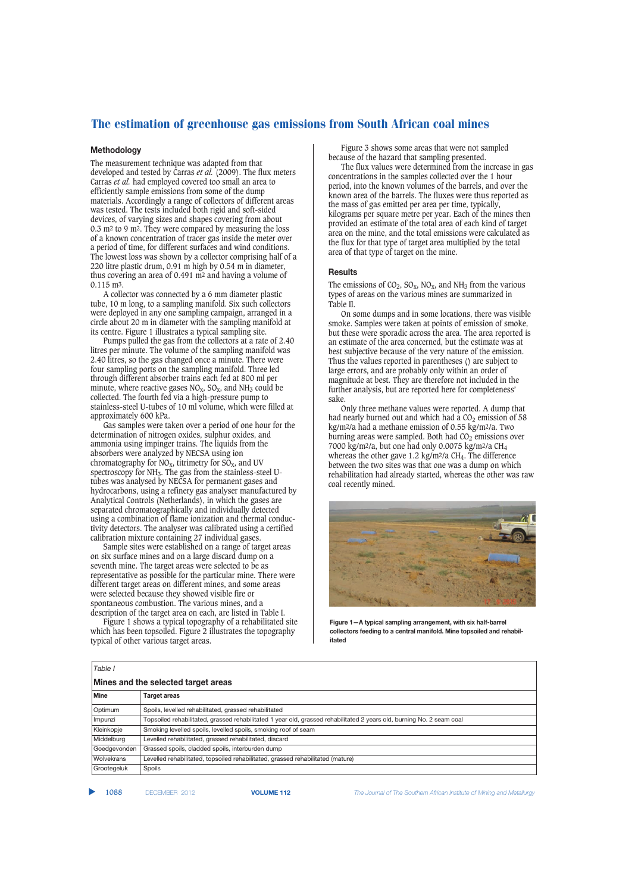# The estimation of greenhouse gas emissions from South African coal mines

## **Methodology**

The measurement technique was adapted from that developed and tested by Carras *et al.* (2009). The flux meters Carras *et al.* had employed covered too small an area to efficiently sample emissions from some of the dump materials. Accordingly a range of collectors of different areas was tested. The tests included both rigid and soft-sided devices, of varying sizes and shapes covering from about 0.3 m2 to 9 m2. They were compared by measuring the loss of a known concentration of tracer gas inside the meter over a period of time, for different surfaces and wind conditions. The lowest loss was shown by a collector comprising half of a 220 litre plastic drum, 0.91 m high by 0.54 m in diameter, thus covering an area of 0.491 m2 and having a volume of 0.115 m3.

A collector was connected by a 6 mm diameter plastic tube, 10 m long, to a sampling manifold. Six such collectors were deployed in any one sampling campaign, arranged in a circle about 20 m in diameter with the sampling manifold at its centre. Figure 1 illustrates a typical sampling site.

Pumps pulled the gas from the collectors at a rate of 2.40 litres per minute. The volume of the sampling manifold was 2.40 litres, so the gas changed once a minute. There were four sampling ports on the sampling manifold. Three led through different absorber trains each fed at 800 ml per minute, where reactive gases  $NO_x$ ,  $SO_x$ , and  $NH_3$  could be collected. The fourth fed via a high-pressure pump to stainless-steel U-tubes of 10 ml volume, which were filled at approximately 600 kPa.

Gas samples were taken over a period of one hour for the determination of nitrogen oxides, sulphur oxides, and ammonia using impinger trains. The liquids from the absorbers were analyzed by NECSA using ion chromatography for  $NO_x$ , titrimetry for  $SO_x$ , and UV spectroscopy for NH3. The gas from the stainless-steel Utubes was analysed by NECSA for permanent gases and hydrocarbons, using a refinery gas analyser manufactured by Analytical Controls (Netherlands), in which the gases are separated chromatographically and individually detected using a combination of flame ionization and thermal conductivity detectors. The analyser was calibrated using a certified calibration mixture containing 27 individual gases.

Sample sites were established on a range of target areas on six surface mines and on a large discard dump on a seventh mine. The target areas were selected to be as representative as possible for the particular mine. There were different target areas on different mines, and some areas were selected because they showed visible fire or spontaneous combustion. The various mines, and a description of the target area on each, are listed in Table I.

Figure 1 shows a typical topography of a rehabilitated site which has been topsoiled. Figure 2 illustrates the topography typical of other various target areas.

Figure 3 shows some areas that were not sampled because of the hazard that sampling presented.

The flux values were determined from the increase in gas concentrations in the samples collected over the 1 hour period, into the known volumes of the barrels, and over the known area of the barrels. The fluxes were thus reported as the mass of gas emitted per area per time, typically, kilograms per square metre per year. Each of the mines then provided an estimate of the total area of each kind of target area on the mine, and the total emissions were calculated as the flux for that type of target area multiplied by the total area of that type of target on the mine.

#### **Results**

The emissions of  $CO_2$ ,  $SO_x$ ,  $NO_x$ , and  $NH_3$  from the various types of areas on the various mines are summarized in Table II.

On some dumps and in some locations, there was visible smoke. Samples were taken at points of emission of smoke, but these were sporadic across the area. The area reported is an estimate of the area concerned, but the estimate was at best subjective because of the very nature of the emission. Thus the values reported in parentheses () are subject to large errors, and are probably only within an order of magnitude at best. They are therefore not included in the further analysis, but are reported here for completeness' sake.

Only three methane values were reported. A dump that had nearly burned out and which had a  $CO<sub>2</sub>$  emission of 58 kg/m2/a had a methane emission of 0.55 kg/m2/a. Two burning areas were sampled. Both had  $CO<sub>2</sub>$  emissions over 7000 kg/m<sup>2</sup>/a, but one had only 0.0075 kg/m<sup>2</sup>/a CH<sub>4</sub> whereas the other gave 1.2 kg/m<sup>2</sup>/a CH<sub>4</sub>. The difference between the two sites was that one was a dump on which rehabilitation had already started, whereas the other was raw coal recently mined.



**Figure 1—A typical sampling arrangement, with six half-barrel collectors feeding to a central manifold. Mine topsoiled and rehabilitated**

| Table I                             |                                                                                                                       |  |  |  |  |
|-------------------------------------|-----------------------------------------------------------------------------------------------------------------------|--|--|--|--|
| Mines and the selected target areas |                                                                                                                       |  |  |  |  |
| <b>Mine</b>                         | Target areas                                                                                                          |  |  |  |  |
| Optimum                             | Spoils, levelled rehabilitated, grassed rehabilitated                                                                 |  |  |  |  |
| Impunzi                             | Topsoiled rehabilitated, grassed rehabilitated 1 year old, grassed rehabilitated 2 years old, burning No. 2 seam coal |  |  |  |  |
| Kleinkopje                          | Smoking levelled spoils, levelled spoils, smoking roof of seam                                                        |  |  |  |  |
| Middelburg                          | Levelled rehabilitated, grassed rehabilitated, discard                                                                |  |  |  |  |
| Goedgevonden                        | Grassed spoils, cladded spoils, interburden dump                                                                      |  |  |  |  |
| Wolvekrans                          | Levelled rehabilitated, topsoiled rehabilitated, grassed rehabilitated (mature)                                       |  |  |  |  |
| Grootegeluk                         | Spoils                                                                                                                |  |  |  |  |

▲

1088 DECEMBER 2012 **VOLUME 112** *The Journal of The Southern African Institute of Mining and Metallurgy*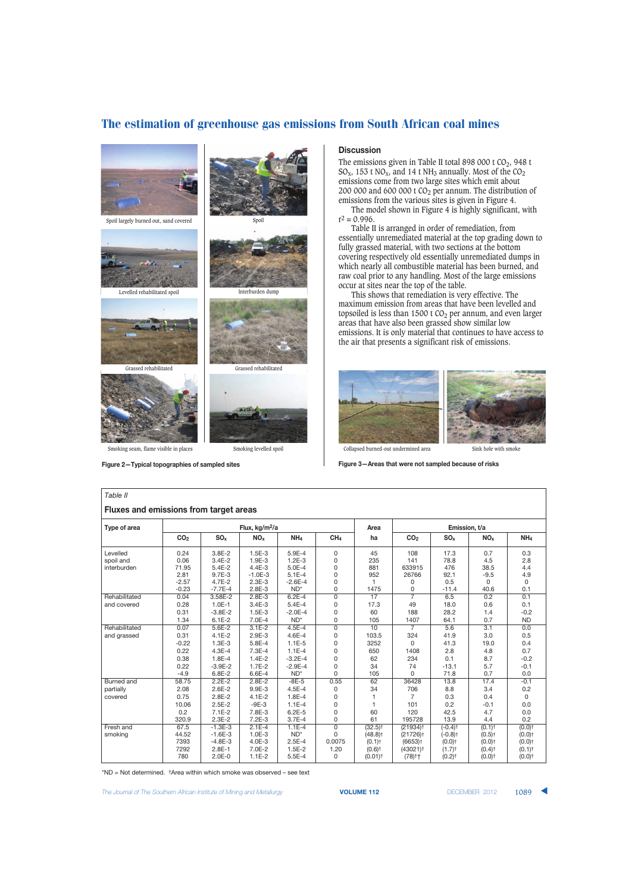# The estimation of greenhouse gas emissions from South African coal mines



**Figure 2—Typical topographies of sampled sites**

### **Discussion**

The emissions given in Table II total 898 000 t CO<sub>2</sub>, 948 t  $SO_x$ , 153 t NO<sub>x</sub>, and 14 t NH<sub>3</sub> annually. Most of the CO<sub>2</sub> emissions come from two large sites which emit about  $200\ 000$  and  $600\ 000$  t CO $_2$  per annum. The distribution of emissions from the various sites is given in Figure 4.

The model shown in Figure 4 is highly significant, with  $r^2 = 0.996$ .

Table II is arranged in order of remediation, from essentially unremediated material at the top grading down to fully grassed material, with two sections at the bottom covering respectively old essentially unremediated dumps in which nearly all combustible material has been burned, and raw coal prior to any handling. Most of the large emissions occur at sites near the top of the table.

This shows that remediation is very effective. The maximum emission from areas that have been levelled and topsoiled is less than 1500 t CO $_2$  per annum, and even larger areas that have also been grassed show similar low emissions. It is only material that continues to have access to the air that presents a significant risk of emissions.





**Figure 3—Areas that were not sampled because of risks**

| Table II                                      |                                          |                                                                 |                                                             |                                                                |                                                          |                                                                                                                         |                                                                                                                            |                                                                                                                        |                                                                                                                      |                                                                                                                      |
|-----------------------------------------------|------------------------------------------|-----------------------------------------------------------------|-------------------------------------------------------------|----------------------------------------------------------------|----------------------------------------------------------|-------------------------------------------------------------------------------------------------------------------------|----------------------------------------------------------------------------------------------------------------------------|------------------------------------------------------------------------------------------------------------------------|----------------------------------------------------------------------------------------------------------------------|----------------------------------------------------------------------------------------------------------------------|
| <b>Fluxes and emissions from target areas</b> |                                          |                                                                 |                                                             |                                                                |                                                          |                                                                                                                         |                                                                                                                            |                                                                                                                        |                                                                                                                      |                                                                                                                      |
| Type of area                                  | Flux, kg/m <sup>2</sup> /a               |                                                                 |                                                             |                                                                |                                                          | Area                                                                                                                    | Emission, t/a                                                                                                              |                                                                                                                        |                                                                                                                      |                                                                                                                      |
|                                               | CO <sub>2</sub>                          | SO <sub>x</sub>                                                 | NO <sub>x</sub>                                             | NH <sub>4</sub>                                                | CH <sub>4</sub>                                          | ha                                                                                                                      | CO <sub>2</sub>                                                                                                            | SO <sub>x</sub>                                                                                                        | NO <sub>x</sub>                                                                                                      | NH <sub>4</sub>                                                                                                      |
| Levelled<br>spoil and<br>interburden          | 0.24<br>0.06<br>71.95<br>2.81<br>$-2.57$ | $3.8E - 2$<br>$3.4E - 2$<br>$5.4E - 2$<br>9.7E-3<br>$4.7E - 2$  | $1.5E-3$<br>$1.9E-3$<br>$4.4E - 3$<br>$-1.0E-3$<br>$2.3E-3$ | 5.9E-4<br>$1.2E - 3$<br>$5.0E - 4$<br>$5.1E - 4$<br>$-2.6E-4$  | 0<br>0<br>0<br>0<br>0                                    | 45<br>235<br>881<br>952                                                                                                 | 108<br>141<br>633915<br>26766<br>0                                                                                         | 17.3<br>78.8<br>476<br>92.1<br>0.5                                                                                     | 0.7<br>4.5<br>38.5<br>$-9.5$<br>0                                                                                    | 0.3<br>2.8<br>4.4<br>4.9<br>0                                                                                        |
| Rehabilitated<br>and covered                  | $-0.23$<br>0.04<br>0.28                  | $-7.7E-4$<br>3.58E-2<br>$1.0E-1$                                | $2.8E - 3$<br>$2.8E - 3$<br>$3.4E - 3$                      | $ND^*$<br>$6.2E - 4$<br>$5.4E - 4$                             | 0<br>$\overline{0}$<br>0                                 | 1475<br>17<br>17.3                                                                                                      | 0<br>$\overline{7}$<br>49                                                                                                  | $-11.4$<br>6.5<br>18.0                                                                                                 | 40.6<br>0.2<br>0.6                                                                                                   | 0.1<br>0.1<br>0.1                                                                                                    |
|                                               | 0.31<br>1.34                             | $-3.8E-2$<br>$6.1E - 2$                                         | $1.5E-3$<br>7.0E-4                                          | $-2.0E-4$<br>$ND^*$                                            | 0<br>0                                                   | 60<br>105                                                                                                               | 188<br>1407                                                                                                                | 28.2<br>64.1                                                                                                           | 1.4<br>0.7                                                                                                           | $-0.2$<br><b>ND</b>                                                                                                  |
| Rehabilitated<br>and grassed                  | 0.07<br>0.31<br>$-0.22$                  | $5.6E - 2$<br>$4.1E - 2$<br>$1.3E-3$                            | $3.1E - 2$<br>$2.9E-3$<br>5.8E-4                            | $4.5E - 4$<br>$4.6E - 4$<br>$1.1E-5$                           | $\overline{0}$<br>0<br>0                                 | 10<br>103.5<br>3252                                                                                                     | 7<br>324<br>0                                                                                                              | 5.6<br>41.9<br>41.3                                                                                                    | 3.1<br>3.0<br>19.0                                                                                                   | 0.0<br>0.5<br>0.4                                                                                                    |
|                                               | 0.22<br>0.38<br>0.22                     | $4.3E - 4$<br>$1.8E - 4$<br>$-3.9E-2$                           | $7.3E-4$<br>$1.4E-2$<br>$1.7E-2$                            | $1.1E - 4$<br>$-3.2E - 4$<br>$-2.9E-4$                         | 0<br>0<br>$\Omega$                                       | 650<br>62<br>34                                                                                                         | 1408<br>234<br>74                                                                                                          | 2.8<br>0.1<br>$-13.1$                                                                                                  | 4.8<br>8.7<br>5.7                                                                                                    | 0.7<br>$-0.2$<br>$-0.1$                                                                                              |
| <b>Burned</b> and                             | $-4.9$<br>58.75                          | 6.8E-2<br>$2.2E - 2$                                            | 6.6E-4<br>$2.8E - 2$                                        | $ND^*$<br>$-8E-5$                                              | 0<br>0.55                                                | 105<br>62                                                                                                               | 0<br>36428                                                                                                                 | 71.8<br>13.8                                                                                                           | 0.7<br>17.4                                                                                                          | 0.0<br>$-0.1$                                                                                                        |
| partially<br>covered                          | 2.08<br>0.75<br>10.06<br>0.2<br>320.9    | $2.6E - 2$<br>$2.8E - 2$<br>$2.5E-2$<br>$7.1E-2$<br>$2.3E - 2$  | 9.9E-3<br>$4.1E - 2$<br>$-9E-3$<br>7.8E-3<br>$7.2E-3$       | $4.5E - 4$<br>$1.8E - 4$<br>$1.1E - 4$<br>$6.2E - 5$<br>3.7E-4 | 0<br>0<br>0<br>0<br>0                                    | 34<br>60<br>61                                                                                                          | 706<br>7<br>101<br>120<br>195728                                                                                           | 8.8<br>0.3<br>0.2<br>42.5<br>13.9                                                                                      | 3.4<br>0.4<br>$-0.1$<br>4.7<br>4.4                                                                                   | 0.2<br>$\Omega$<br>0.0<br>0.0<br>0.2                                                                                 |
| Fresh and<br>smoking                          | 67.5<br>44.52<br>7393<br>7292<br>780     | $-1.3E-3$<br>$-1.6E-3$<br>$-4.8E-3$<br>$2.8E - 1$<br>$2.0E - 0$ | $2.1E-4$<br>$1.0E-3$<br>4.0E-3<br>7.0E-2<br>$1.1E-2$        | $1.1E-4$<br>$ND^*$<br>$2.5E-4$<br>$1.5E-2$<br>$5.5E-4$         | $\overline{0}$<br>$\Omega$<br>0.0075<br>1.20<br>$\Omega$ | $(32.5)$ <sup>†</sup><br>$(48.8)$ <sup>†</sup><br>$(0.1)$ <sup>+</sup><br>$(0.6)$ <sup>+</sup><br>$(0.01)$ <sup>†</sup> | $(21934)$ <sup>†</sup><br>$(21726)$ <sup>†</sup><br>$(6653)$ <sup>+</sup><br>$(43021)$ <sup>+</sup><br>$(78)$ <sup>+</sup> | $(-0.4)$ <sup>†</sup><br>$(-0.8)$ <sup>+</sup><br>$(0.0)$ <sup>+</sup><br>$(1.7)$ <sup>†</sup><br>$(0.2)$ <sup>†</sup> | $(0.1)$ <sup>†</sup><br>$(0.5)$ <sup>†</sup><br>$(0.0)$ <sup>+</sup><br>$(0.4)$ <sup>+</sup><br>$(0.0)$ <sup>+</sup> | $(0.0)$ <sup>†</sup><br>$(0.0)$ <sup>+</sup><br>$(0.0)$ <sup>+</sup><br>$(0.1)$ <sup>†</sup><br>$(0.0)$ <sup>+</sup> |

\*ND = Not determined. †Area within which smoke was observed – see text

The Journal of The Southern African Institute of Mining and Metallurgy **VOLUME 112 VOLUME 112 DECEMBER 2012** 1089